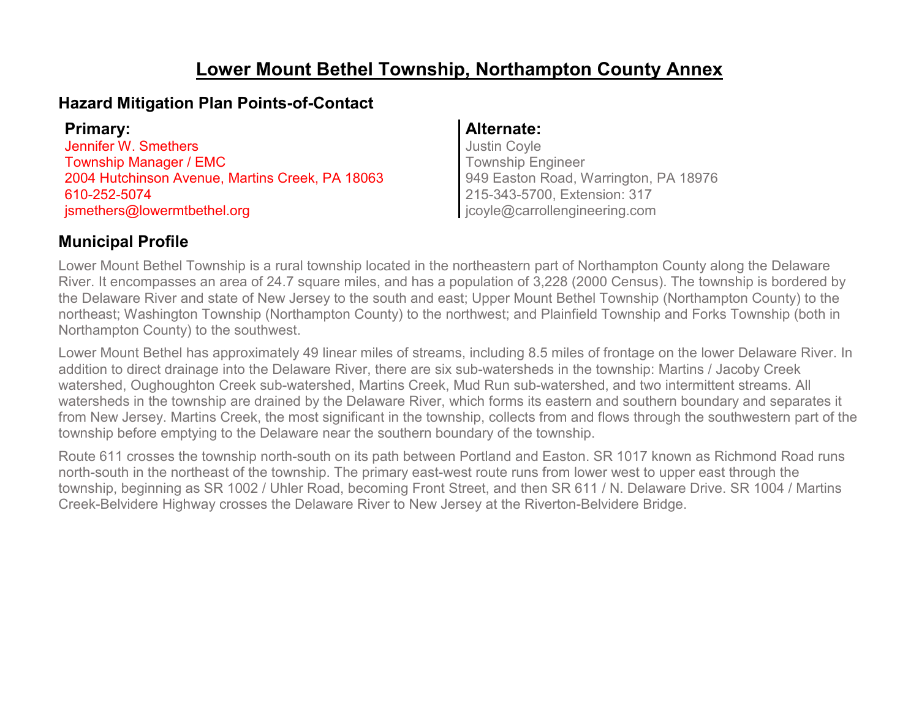## **Lower Mount Bethel Township, Northampton County Annex**

## **Hazard Mitigation Plan Points-of-Contact**

| <b>Primary:</b>                                 |  |
|-------------------------------------------------|--|
| Jennifer W. Smethers                            |  |
| Township Manager / EMC                          |  |
| 2004 Hutchinson Avenue, Martins Creek, PA 18063 |  |
| 610-252-5074                                    |  |
| jsmethers@lowermtbethel.org                     |  |

### **Primary: Alternate:**

Justin Coyle Township Engineer 949 Easton Road, Warrington, PA 18976 215-343-5700, Extension: 317 jcoyle@carrollengineering.com

## **Municipal Profile**

Lower Mount Bethel Township is a rural township located in the northeastern part of Northampton County along the Delaware River. It encompasses an area of 24.7 square miles, and has a population of 3,228 (2000 Census). The township is bordered by the Delaware River and state of New Jersey to the south and east; Upper Mount Bethel Township (Northampton County) to the northeast; Washington Township (Northampton County) to the northwest; and Plainfield Township and Forks Township (both in Northampton County) to the southwest.

Lower Mount Bethel has approximately 49 linear miles of streams, including 8.5 miles of frontage on the lower Delaware River. In addition to direct drainage into the Delaware River, there are six sub-watersheds in the township: Martins / Jacoby Creek watershed, Oughoughton Creek sub-watershed, Martins Creek, Mud Run sub-watershed, and two intermittent streams. All watersheds in the township are drained by the Delaware River, which forms its eastern and southern boundary and separates it from New Jersey. Martins Creek, the most significant in the township, collects from and flows through the southwestern part of the township before emptying to the Delaware near the southern boundary of the township.

Route 611 crosses the township north-south on its path between Portland and Easton. SR 1017 known as Richmond Road runs north-south in the northeast of the township. The primary east-west route runs from lower west to upper east through the township, beginning as SR 1002 / Uhler Road, becoming Front Street, and then SR 611 / N. Delaware Drive. SR 1004 / Martins Creek-Belvidere Highway crosses the Delaware River to New Jersey at the Riverton-Belvidere Bridge.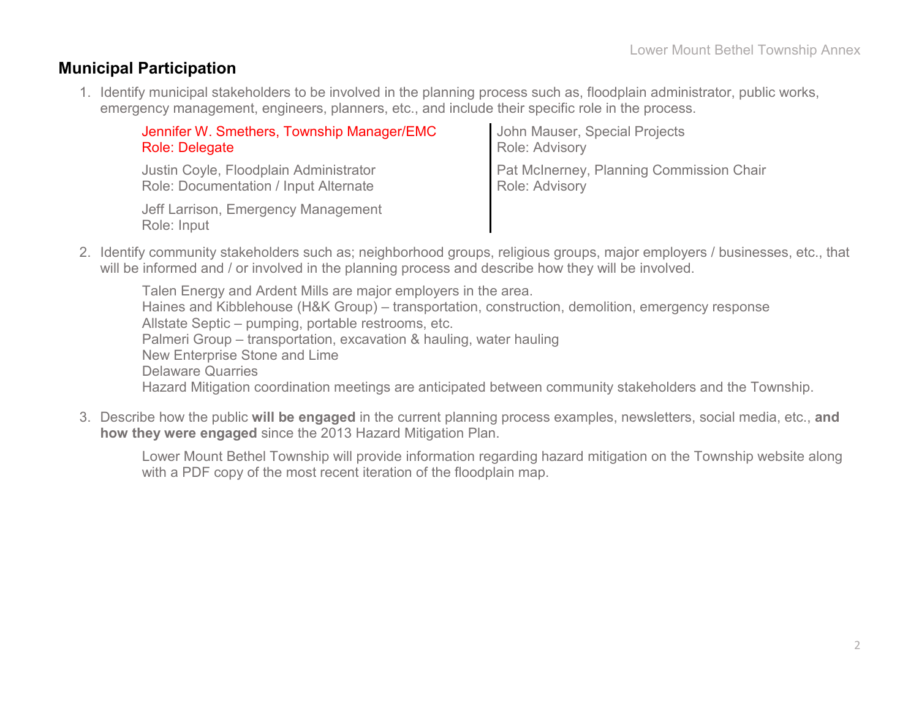### **Municipal Participation**

1. Identify municipal stakeholders to be involved in the planning process such as, floodplain administrator, public works, emergency management, engineers, planners, etc., and include their specific role in the process.

| Jennifer W. Smethers, Township Manager/EMC         | John Mauser, Special Projects            |
|----------------------------------------------------|------------------------------------------|
| <b>Role: Delegate</b>                              | Role: Advisory                           |
| Justin Coyle, Floodplain Administrator             | Pat McInerney, Planning Commission Chair |
| Role: Documentation / Input Alternate              | Role: Advisory                           |
| Jeff Larrison, Emergency Management<br>Role: Input |                                          |

2. Identify community stakeholders such as; neighborhood groups, religious groups, major employers / businesses, etc., that will be informed and / or involved in the planning process and describe how they will be involved.

Talen Energy and Ardent Mills are major employers in the area. Haines and Kibblehouse (H&K Group) – transportation, construction, demolition, emergency response Allstate Septic – pumping, portable restrooms, etc. Palmeri Group – transportation, excavation & hauling, water hauling New Enterprise Stone and Lime Delaware Quarries Hazard Mitigation coordination meetings are anticipated between community stakeholders and the Township.

3. Describe how the public **will be engaged** in the current planning process examples, newsletters, social media, etc., **and how they were engaged** since the 2013 Hazard Mitigation Plan.

Lower Mount Bethel Township will provide information regarding hazard mitigation on the Township website along with a PDF copy of the most recent iteration of the floodplain map.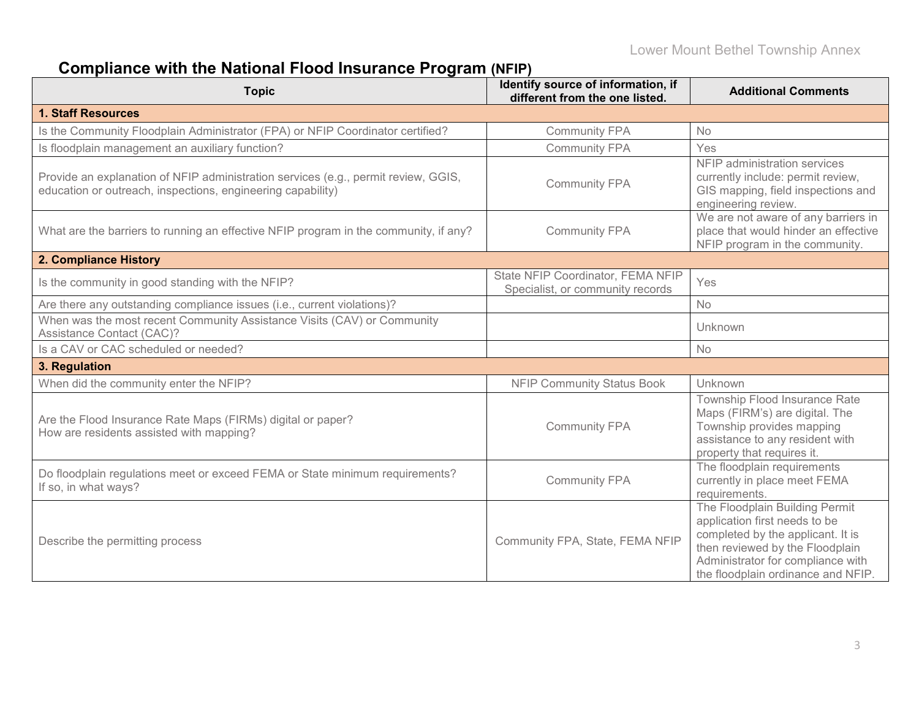# **Compliance with the National Flood Insurance Program (NFIP)**

| <b>Topic</b>                                                                                                                                      | Identify source of information, if<br>different from the one listed.  | <b>Additional Comments</b>                                                                                                                                                                                         |
|---------------------------------------------------------------------------------------------------------------------------------------------------|-----------------------------------------------------------------------|--------------------------------------------------------------------------------------------------------------------------------------------------------------------------------------------------------------------|
| <b>1. Staff Resources</b>                                                                                                                         |                                                                       |                                                                                                                                                                                                                    |
| Is the Community Floodplain Administrator (FPA) or NFIP Coordinator certified?                                                                    | <b>Community FPA</b>                                                  | <b>No</b>                                                                                                                                                                                                          |
| Is floodplain management an auxiliary function?                                                                                                   | <b>Community FPA</b>                                                  | Yes                                                                                                                                                                                                                |
| Provide an explanation of NFIP administration services (e.g., permit review, GGIS,<br>education or outreach, inspections, engineering capability) | <b>Community FPA</b>                                                  | NFIP administration services<br>currently include: permit review,<br>GIS mapping, field inspections and<br>engineering review.                                                                                     |
| What are the barriers to running an effective NFIP program in the community, if any?                                                              | <b>Community FPA</b>                                                  | We are not aware of any barriers in<br>place that would hinder an effective<br>NFIP program in the community.                                                                                                      |
| 2. Compliance History                                                                                                                             |                                                                       |                                                                                                                                                                                                                    |
| Is the community in good standing with the NFIP?                                                                                                  | State NFIP Coordinator, FEMA NFIP<br>Specialist, or community records | Yes                                                                                                                                                                                                                |
| Are there any outstanding compliance issues (i.e., current violations)?                                                                           |                                                                       | <b>No</b>                                                                                                                                                                                                          |
| When was the most recent Community Assistance Visits (CAV) or Community<br><b>Assistance Contact (CAC)?</b>                                       |                                                                       | Unknown                                                                                                                                                                                                            |
| Is a CAV or CAC scheduled or needed?                                                                                                              |                                                                       | <b>No</b>                                                                                                                                                                                                          |
| 3. Regulation                                                                                                                                     |                                                                       |                                                                                                                                                                                                                    |
| When did the community enter the NFIP?                                                                                                            | <b>NFIP Community Status Book</b>                                     | Unknown                                                                                                                                                                                                            |
| Are the Flood Insurance Rate Maps (FIRMs) digital or paper?<br>How are residents assisted with mapping?                                           | <b>Community FPA</b>                                                  | Township Flood Insurance Rate<br>Maps (FIRM's) are digital. The<br>Township provides mapping<br>assistance to any resident with<br>property that requires it.                                                      |
| Do floodplain regulations meet or exceed FEMA or State minimum requirements?<br>If so, in what ways?                                              | <b>Community FPA</b>                                                  | The floodplain requirements<br>currently in place meet FEMA<br>requirements.                                                                                                                                       |
| Describe the permitting process                                                                                                                   | Community FPA, State, FEMA NFIP                                       | The Floodplain Building Permit<br>application first needs to be<br>completed by the applicant. It is<br>then reviewed by the Floodplain<br>Administrator for compliance with<br>the floodplain ordinance and NFIP. |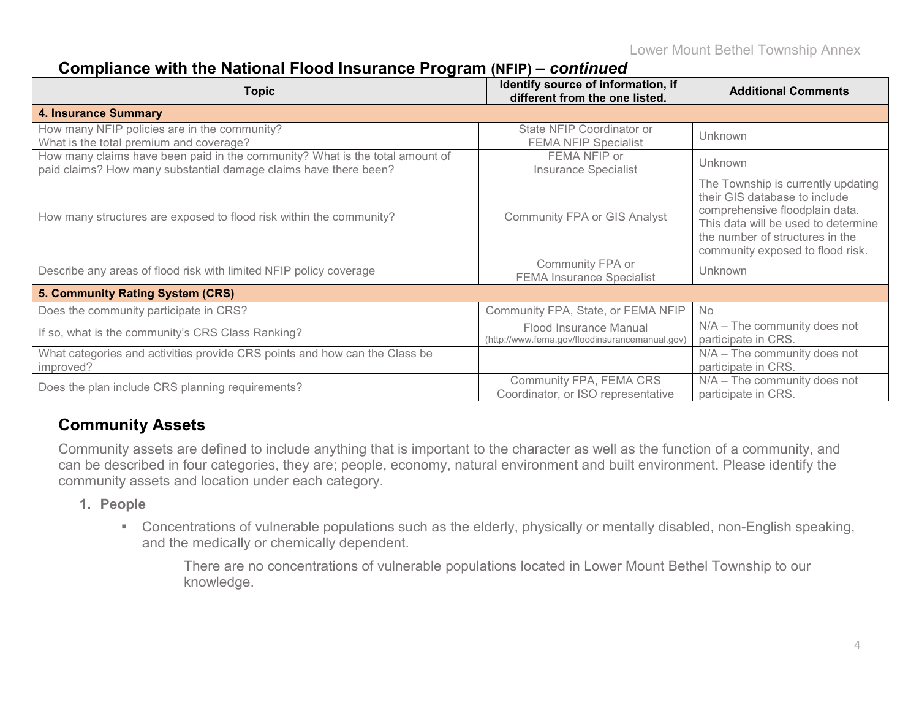## **Compliance with the National Flood Insurance Program (NFIP) –** *continued*

| <b>Topic</b>                                                                                                                                     | Identify source of information, if<br>different from the one listed.     | <b>Additional Comments</b>                                                                                                                                                                                          |
|--------------------------------------------------------------------------------------------------------------------------------------------------|--------------------------------------------------------------------------|---------------------------------------------------------------------------------------------------------------------------------------------------------------------------------------------------------------------|
| <b>4. Insurance Summary</b>                                                                                                                      |                                                                          |                                                                                                                                                                                                                     |
| How many NFIP policies are in the community?<br>What is the total premium and coverage?                                                          | State NFIP Coordinator or<br><b>FEMA NFIP Specialist</b>                 | Unknown                                                                                                                                                                                                             |
| How many claims have been paid in the community? What is the total amount of<br>paid claims? How many substantial damage claims have there been? | FEMA NFIP or<br><b>Insurance Specialist</b>                              | Unknown                                                                                                                                                                                                             |
| How many structures are exposed to flood risk within the community?                                                                              | <b>Community FPA or GIS Analyst</b>                                      | The Township is currently updating<br>their GIS database to include<br>comprehensive floodplain data.<br>This data will be used to determine<br>the number of structures in the<br>community exposed to flood risk. |
| Describe any areas of flood risk with limited NFIP policy coverage                                                                               | Community FPA or<br><b>FEMA Insurance Specialist</b>                     | Unknown                                                                                                                                                                                                             |
| 5. Community Rating System (CRS)                                                                                                                 |                                                                          |                                                                                                                                                                                                                     |
| Does the community participate in CRS?                                                                                                           | Community FPA, State, or FEMA NFIP                                       | No                                                                                                                                                                                                                  |
| If so, what is the community's CRS Class Ranking?                                                                                                | Flood Insurance Manual<br>(http://www.fema.gov/floodinsurancemanual.gov) | $N/A$ – The community does not<br>participate in CRS.                                                                                                                                                               |
| What categories and activities provide CRS points and how can the Class be<br>improved?                                                          |                                                                          | $N/A$ – The community does not<br>participate in CRS.                                                                                                                                                               |
| Does the plan include CRS planning requirements?                                                                                                 | Community FPA, FEMA CRS<br>Coordinator, or ISO representative            | $N/A$ – The community does not<br>participate in CRS.                                                                                                                                                               |

## **Community Assets**

Community assets are defined to include anything that is important to the character as well as the function of a community, and can be described in four categories, they are; people, economy, natural environment and built environment. Please identify the community assets and location under each category.

### **1. People**

 Concentrations of vulnerable populations such as the elderly, physically or mentally disabled, non-English speaking, and the medically or chemically dependent.

There are no concentrations of vulnerable populations located in Lower Mount Bethel Township to our knowledge.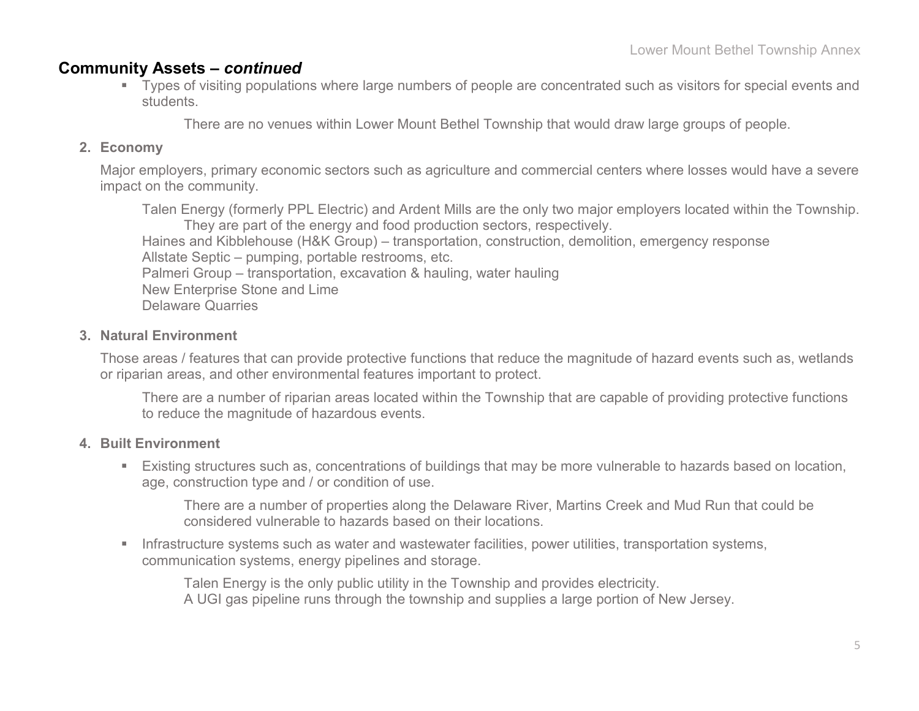### **Community Assets –** *continued*

 Types of visiting populations where large numbers of people are concentrated such as visitors for special events and students.

There are no venues within Lower Mount Bethel Township that would draw large groups of people.

### **2. Economy**

Major employers, primary economic sectors such as agriculture and commercial centers where losses would have a severe impact on the community.

Talen Energy (formerly PPL Electric) and Ardent Mills are the only two major employers located within the Township. They are part of the energy and food production sectors, respectively. Haines and Kibblehouse (H&K Group) – transportation, construction, demolition, emergency response Allstate Septic – pumping, portable restrooms, etc. Palmeri Group – transportation, excavation & hauling, water hauling New Enterprise Stone and Lime Delaware Quarries

### **3. Natural Environment**

Those areas / features that can provide protective functions that reduce the magnitude of hazard events such as, wetlands or riparian areas, and other environmental features important to protect.

There are a number of riparian areas located within the Township that are capable of providing protective functions to reduce the magnitude of hazardous events.

### **4. Built Environment**

 Existing structures such as, concentrations of buildings that may be more vulnerable to hazards based on location, age, construction type and / or condition of use.

There are a number of properties along the Delaware River, Martins Creek and Mud Run that could be considered vulnerable to hazards based on their locations.

**Infrastructure systems such as water and wastewater facilities, power utilities, transportation systems,** communication systems, energy pipelines and storage.

Talen Energy is the only public utility in the Township and provides electricity. A UGI gas pipeline runs through the township and supplies a large portion of New Jersey.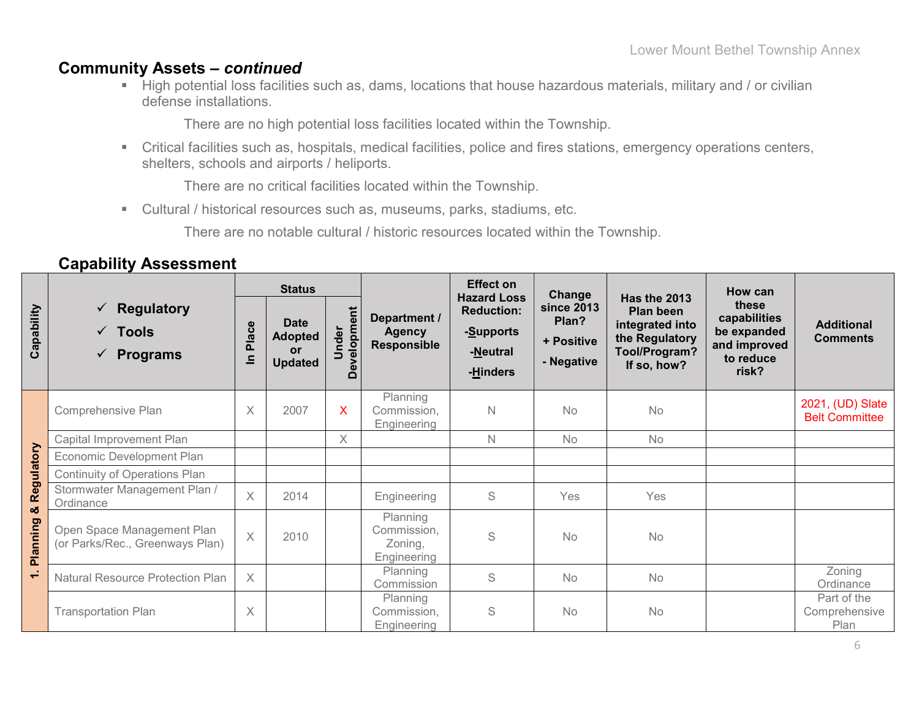### **Community Assets –** *continued*

 High potential loss facilities such as, dams, locations that house hazardous materials, military and / or civilian defense installations.

There are no high potential loss facilities located within the Township.

 Critical facilities such as, hospitals, medical facilities, police and fires stations, emergency operations centers, shelters, schools and airports / heliports.

There are no critical facilities located within the Township.

Cultural / historical resources such as, museums, parks, stadiums, etc.

There are no notable cultural / historic resources located within the Township.

|                          |                                                                                           |                                                 | <b>Status</b>                                                |                                 |                                                     | <b>Effect on</b>                                                             | Change                                          |                                                                                                              | How can                                                                    |                                           |
|--------------------------|-------------------------------------------------------------------------------------------|-------------------------------------------------|--------------------------------------------------------------|---------------------------------|-----------------------------------------------------|------------------------------------------------------------------------------|-------------------------------------------------|--------------------------------------------------------------------------------------------------------------|----------------------------------------------------------------------------|-------------------------------------------|
| Capability               | <b>Regulatory</b><br>✓<br><b>Tools</b><br>$\checkmark$<br><b>Programs</b><br>$\checkmark$ | ဗီ<br>$\tilde{\mathbf{z}}$<br>൨<br>$\mathbf{a}$ | <b>Date</b><br><b>Adopted</b><br><b>or</b><br><b>Updated</b> | evelopment<br>Under<br>$\Omega$ | Department /<br><b>Agency</b><br><b>Responsible</b> | <b>Hazard Loss</b><br><b>Reduction:</b><br>-Supports<br>-Neutral<br>-Hinders | since 2013<br>Plan?<br>+ Positive<br>- Negative | <b>Has the 2013</b><br><b>Plan been</b><br>integrated into<br>the Regulatory<br>Tool/Program?<br>If so, how? | these<br>capabilities<br>be expanded<br>and improved<br>to reduce<br>risk? | <b>Additional</b><br><b>Comments</b>      |
|                          | Comprehensive Plan                                                                        | Χ                                               | 2007                                                         | X                               | Planning<br>Commission,<br>Engineering              | N                                                                            | <b>No</b>                                       | No                                                                                                           |                                                                            | 2021, (UD) Slate<br><b>Belt Committee</b> |
|                          | Capital Improvement Plan                                                                  |                                                 |                                                              | $\times$                        |                                                     | N                                                                            | <b>No</b>                                       | No                                                                                                           |                                                                            |                                           |
| Regulatory               | Economic Development Plan                                                                 |                                                 |                                                              |                                 |                                                     |                                                                              |                                                 |                                                                                                              |                                                                            |                                           |
|                          | Continuity of Operations Plan                                                             |                                                 |                                                              |                                 |                                                     |                                                                              |                                                 |                                                                                                              |                                                                            |                                           |
| ಜೆ                       | Stormwater Management Plan /<br>Ordinance                                                 | X                                               | 2014                                                         |                                 | Engineering                                         | S                                                                            | Yes                                             | Yes                                                                                                          |                                                                            |                                           |
| ත<br>Plannin             | Open Space Management Plan<br>(or Parks/Rec., Greenways Plan)                             | $\times$                                        | 2010                                                         |                                 | Planning<br>Commission,<br>Zoning,<br>Engineering   | S                                                                            | <b>No</b>                                       | No                                                                                                           |                                                                            |                                           |
| $\overline{\phantom{0}}$ | <b>Natural Resource Protection Plan</b>                                                   | X                                               |                                                              |                                 | Planning<br>Commission                              | S                                                                            | No                                              | No                                                                                                           |                                                                            | Zoning<br>Ordinance                       |
|                          | <b>Transportation Plan</b>                                                                | X                                               |                                                              |                                 | Planning<br>Commission,<br>Engineering              | S                                                                            | <b>No</b>                                       | No                                                                                                           |                                                                            | Part of the<br>Comprehensive<br>Plan      |

## **Capability Assessment**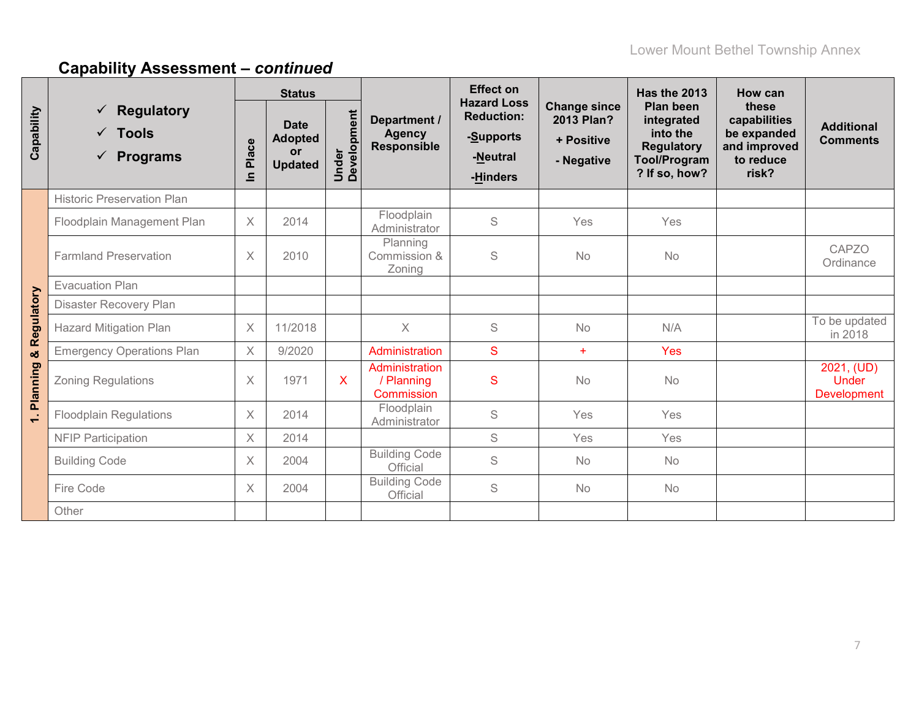|              |                                                                         | <b>Status</b>         |                                                       |                      |                                                   | <b>Effect on</b><br><b>Hazard Loss</b>                 |                                                               | <b>Has the 2013</b>                                                                              | <b>How can</b>                                                             |                                           |
|--------------|-------------------------------------------------------------------------|-----------------------|-------------------------------------------------------|----------------------|---------------------------------------------------|--------------------------------------------------------|---------------------------------------------------------------|--------------------------------------------------------------------------------------------------|----------------------------------------------------------------------------|-------------------------------------------|
| Capability   | Regulatory<br>✓<br><b>Tools</b><br>$\checkmark$<br><b>Programs</b><br>✓ | Place<br>$\equiv$     | <b>Date</b><br><b>Adopted</b><br>or<br><b>Updated</b> | Under<br>Development | Department /<br><b>Agency</b><br>Responsible      | <b>Reduction:</b><br>-Supports<br>-Neutral<br>-Hinders | <b>Change since</b><br>2013 Plan?<br>+ Positive<br>- Negative | Plan been<br>integrated<br>into the<br><b>Regulatory</b><br><b>Tool/Program</b><br>? If so, how? | these<br>capabilities<br>be expanded<br>and improved<br>to reduce<br>risk? | <b>Additional</b><br><b>Comments</b>      |
|              | <b>Historic Preservation Plan</b>                                       |                       |                                                       |                      |                                                   |                                                        |                                                               |                                                                                                  |                                                                            |                                           |
|              | Floodplain Management Plan                                              | $\times$              | 2014                                                  |                      | Floodplain<br>Administrator                       | S                                                      | Yes                                                           | Yes                                                                                              |                                                                            |                                           |
|              | <b>Farmland Preservation</b>                                            | $\times$              | 2010                                                  |                      | Planning<br>Commission &<br>Zoning                | S                                                      | <b>No</b>                                                     | No                                                                                               |                                                                            | CAPZO<br>Ordinance                        |
|              | <b>Evacuation Plan</b>                                                  |                       |                                                       |                      |                                                   |                                                        |                                                               |                                                                                                  |                                                                            |                                           |
|              | Disaster Recovery Plan                                                  |                       |                                                       |                      |                                                   |                                                        |                                                               |                                                                                                  |                                                                            |                                           |
| & Regulatory | <b>Hazard Mitigation Plan</b>                                           | $\boldsymbol{\times}$ | 11/2018                                               |                      | $\times$                                          | S                                                      | No                                                            | N/A                                                                                              |                                                                            | To be updated<br>in 2018                  |
|              | <b>Emergency Operations Plan</b>                                        | X                     | 9/2020                                                |                      | Administration                                    | S                                                      | $\ddot{}$                                                     | Yes                                                                                              |                                                                            |                                           |
| Planning     | <b>Zoning Regulations</b>                                               | X                     | 1971                                                  | X                    | Administration<br>/ Planning<br><b>Commission</b> | S                                                      | <b>No</b>                                                     | No                                                                                               |                                                                            | 2021, (UD)<br><b>Under</b><br>Development |
| ÷            | <b>Floodplain Regulations</b>                                           | $\times$              | 2014                                                  |                      | Floodplain<br>Administrator                       | $\mathbb S$                                            | Yes                                                           | Yes                                                                                              |                                                                            |                                           |
|              | <b>NFIP Participation</b>                                               | $\times$              | 2014                                                  |                      |                                                   | S                                                      | Yes                                                           | Yes                                                                                              |                                                                            |                                           |
|              | <b>Building Code</b>                                                    | $\times$              | 2004                                                  |                      | <b>Building Code</b><br>Official                  | S                                                      | <b>No</b>                                                     | No                                                                                               |                                                                            |                                           |
|              | Fire Code                                                               | $\times$              | 2004                                                  |                      | <b>Building Code</b><br>Official                  | S                                                      | <b>No</b>                                                     | No                                                                                               |                                                                            |                                           |
|              | Other                                                                   |                       |                                                       |                      |                                                   |                                                        |                                                               |                                                                                                  |                                                                            |                                           |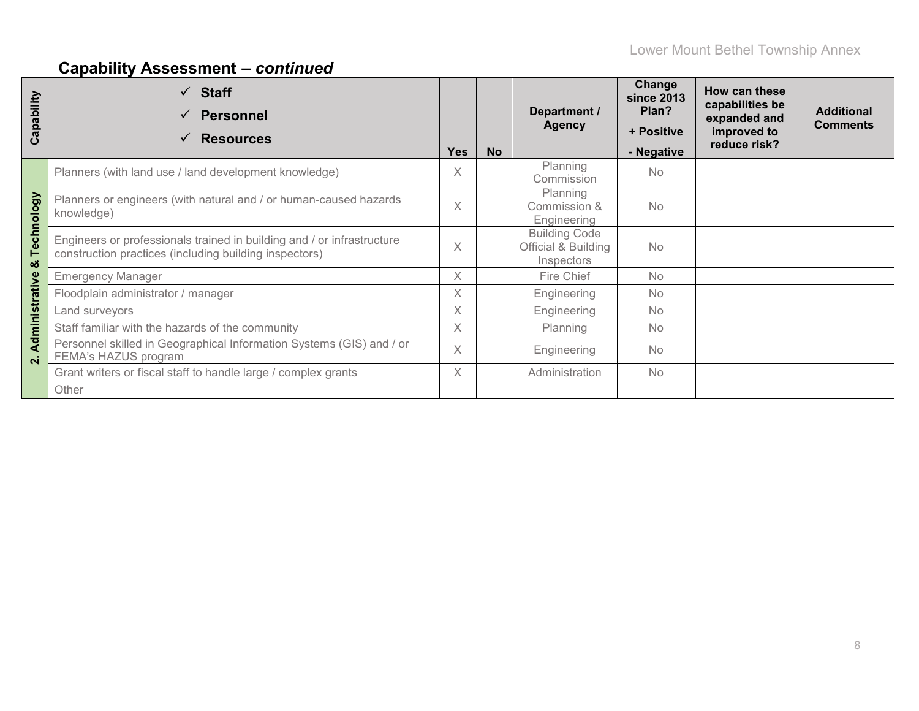| Capability                           | <b>Staff</b><br>$\checkmark$<br><b>Personnel</b><br><b>Resources</b>                                                             | <b>Yes</b> | <b>No</b> | Department /<br><b>Agency</b>                             | Change<br>since 2013<br>Plan?<br>+ Positive<br>- Negative | How can these<br>capabilities be<br>expanded and<br>improved to<br>reduce risk? | <b>Additional</b><br><b>Comments</b> |
|--------------------------------------|----------------------------------------------------------------------------------------------------------------------------------|------------|-----------|-----------------------------------------------------------|-----------------------------------------------------------|---------------------------------------------------------------------------------|--------------------------------------|
|                                      | Planners (with land use / land development knowledge)                                                                            | X          |           | Planning<br>Commission                                    | <b>No</b>                                                 |                                                                                 |                                      |
| Technology                           | Planners or engineers (with natural and / or human-caused hazards<br>knowledge)                                                  | $\times$   |           | Planning<br>Commission &<br>Engineering                   | <b>No</b>                                                 |                                                                                 |                                      |
| οð                                   | Engineers or professionals trained in building and / or infrastructure<br>construction practices (including building inspectors) | $\times$   |           | <b>Building Code</b><br>Official & Building<br>Inspectors | <b>No</b>                                                 |                                                                                 |                                      |
|                                      | <b>Emergency Manager</b>                                                                                                         | $\times$   |           | Fire Chief                                                | <b>No</b>                                                 |                                                                                 |                                      |
|                                      | Floodplain administrator / manager                                                                                               | $\times$   |           | Engineering                                               | <b>No</b>                                                 |                                                                                 |                                      |
|                                      | Land surveyors                                                                                                                   | $\times$   |           | Engineering                                               | <b>No</b>                                                 |                                                                                 |                                      |
|                                      | Staff familiar with the hazards of the community                                                                                 | X          |           | Planning                                                  | <b>No</b>                                                 |                                                                                 |                                      |
| Administrative<br>$\dot{\mathbf{v}}$ | Personnel skilled in Geographical Information Systems (GIS) and / or<br>FEMA's HAZUS program                                     | $\times$   |           | Engineering                                               | No                                                        |                                                                                 |                                      |
|                                      | Grant writers or fiscal staff to handle large / complex grants                                                                   | $\times$   |           | Administration                                            | <b>No</b>                                                 |                                                                                 |                                      |
|                                      | Other                                                                                                                            |            |           |                                                           |                                                           |                                                                                 |                                      |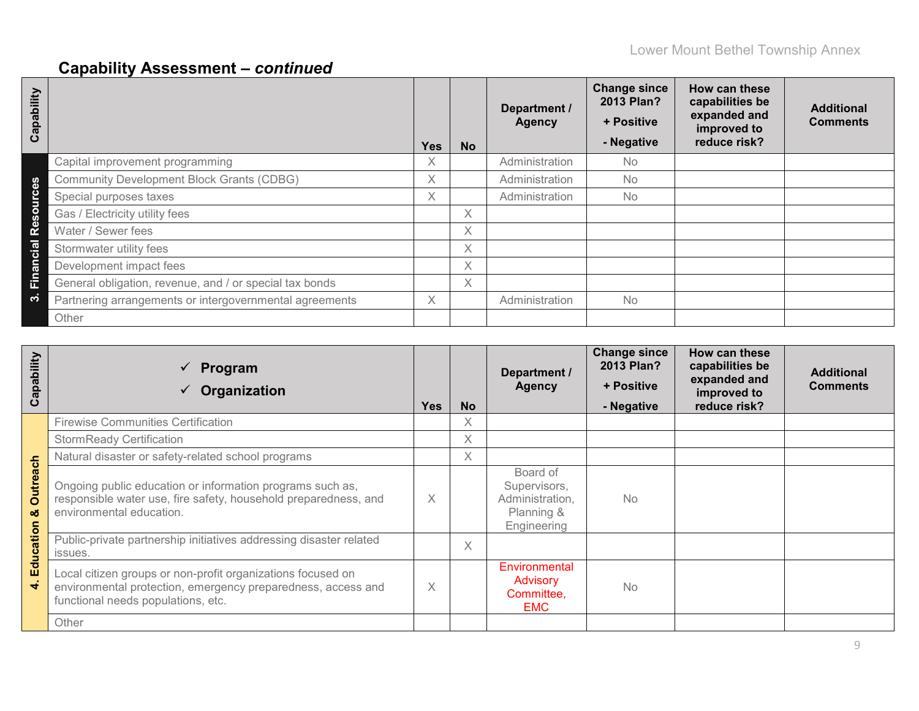| Capability                        |                                                         | Yes               | <b>No</b> | Department /<br><b>Agency</b> | <b>Change since</b><br>2013 Plan?<br>+ Positive<br>- Negative | How can these<br>capabilities be<br>expanded and<br>improved to<br>reduce risk? | <b>Additional</b><br><b>Comments</b> |
|-----------------------------------|---------------------------------------------------------|-------------------|-----------|-------------------------------|---------------------------------------------------------------|---------------------------------------------------------------------------------|--------------------------------------|
|                                   | Capital improvement programming                         | $\checkmark$<br>∧ |           | Administration                | No.                                                           |                                                                                 |                                      |
| <b>S</b>                          | <b>Community Development Block Grants (CDBG)</b>        | X.                |           | Administration                | No                                                            |                                                                                 |                                      |
| $\epsilon$<br>Б                   | Special purposes taxes                                  | X.                |           | Administration                | No                                                            |                                                                                 |                                      |
| $\Omega$<br>$\boldsymbol{\omega}$ | Gas / Electricity utility fees                          |                   | Χ         |                               |                                                               |                                                                                 |                                      |
| ၕိ                                | Water / Sewer fees                                      |                   | Χ         |                               |                                                               |                                                                                 |                                      |
| Cial                              | Stormwater utility fees                                 |                   | X         |                               |                                                               |                                                                                 |                                      |
| Finan                             | Development impact fees                                 |                   | $\times$  |                               |                                                               |                                                                                 |                                      |
|                                   | General obligation, revenue, and / or special tax bonds |                   | $\times$  |                               |                                                               |                                                                                 |                                      |
| က                                 | Partnering arrangements or intergovernmental agreements | X.                |           | Administration                | <b>No</b>                                                     |                                                                                 |                                      |
|                                   | Other                                                   |                   |           |                               |                                                               |                                                                                 |                                      |

| ability<br>Cap          | Program<br>$\checkmark$<br>Organization                                                                                                                           | <b>Yes</b> | <b>No</b> | Department /<br><b>Agency</b>                                            | <b>Change since</b><br>2013 Plan?<br>+ Positive<br>- Negative | How can these<br>capabilities be<br>expanded and<br>improved to<br>reduce risk? | <b>Additional</b><br><b>Comments</b> |
|-------------------------|-------------------------------------------------------------------------------------------------------------------------------------------------------------------|------------|-----------|--------------------------------------------------------------------------|---------------------------------------------------------------|---------------------------------------------------------------------------------|--------------------------------------|
|                         | <b>Firewise Communities Certification</b>                                                                                                                         |            | X         |                                                                          |                                                               |                                                                                 |                                      |
|                         | <b>StormReady Certification</b>                                                                                                                                   |            | $\times$  |                                                                          |                                                               |                                                                                 |                                      |
|                         | Natural disaster or safety-related school programs                                                                                                                |            | X         |                                                                          |                                                               |                                                                                 |                                      |
| utreach<br>$\circ$<br>ಯ | Ongoing public education or information programs such as,<br>responsible water use, fire safety, household preparedness, and<br>environmental education.          | X          |           | Board of<br>Supervisors,<br>Administration,<br>Planning &<br>Engineering | <b>No</b>                                                     |                                                                                 |                                      |
| Education               | Public-private partnership initiatives addressing disaster related<br>issues.                                                                                     |            | $\times$  |                                                                          |                                                               |                                                                                 |                                      |
| $\blacktriangledown$    | Local citizen groups or non-profit organizations focused on<br>environmental protection, emergency preparedness, access and<br>functional needs populations, etc. | X          |           | Environmental<br><b>Advisory</b><br>Committee,<br><b>EMC</b>             | <b>No</b>                                                     |                                                                                 |                                      |
|                         | Other                                                                                                                                                             |            |           |                                                                          |                                                               |                                                                                 |                                      |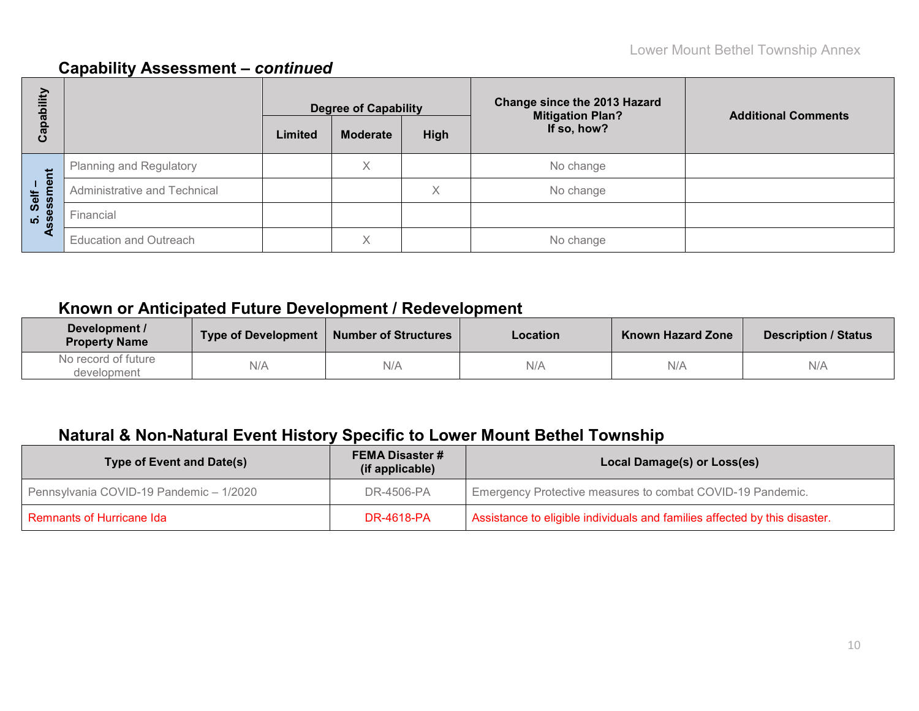| E<br>ᄒ               |                                | <b>Degree of Capability</b> |                 |      | <b>Change since the 2013 Hazard</b><br><b>Mitigation Plan?</b> | <b>Additional Comments</b> |
|----------------------|--------------------------------|-----------------------------|-----------------|------|----------------------------------------------------------------|----------------------------|
| <u>թզ</u><br>ပိ      |                                | Limited                     | <b>Moderate</b> | High | If so, how?                                                    |                            |
|                      | <b>Planning and Regulatory</b> |                             | X               |      | No change                                                      |                            |
| nent<br>Self<br>essm | Administrative and Technical   |                             |                 | Χ    | No change                                                      |                            |
| <u> 8</u>            | Financial                      |                             |                 |      |                                                                |                            |
| ⋖                    | <b>Education and Outreach</b>  |                             | Χ               |      | No change                                                      |                            |

## **Known or Anticipated Future Development / Redevelopment**

| Development /<br><b>Property Name</b> | <b>Type of Development</b> | <b>Number of Structures</b> | Location | <b>Known Hazard Zone</b> | <b>Description / Status</b> |
|---------------------------------------|----------------------------|-----------------------------|----------|--------------------------|-----------------------------|
| No record of future<br>development    | N/A                        | N/A                         | N/A      | N/A                      | N/A                         |

## **Natural & Non-Natural Event History Specific to Lower Mount Bethel Township**

| Type of Event and Date(s)               | <b>FEMA Disaster #</b><br>(if applicable) | Local Damage(s) or Loss(es)                                                |
|-----------------------------------------|-------------------------------------------|----------------------------------------------------------------------------|
| Pennsylvania COVID-19 Pandemic - 1/2020 | DR-4506-PA                                | Emergency Protective measures to combat COVID-19 Pandemic.                 |
| Remnants of Hurricane Ida               | DR-4618-PA                                | Assistance to eligible individuals and families affected by this disaster. |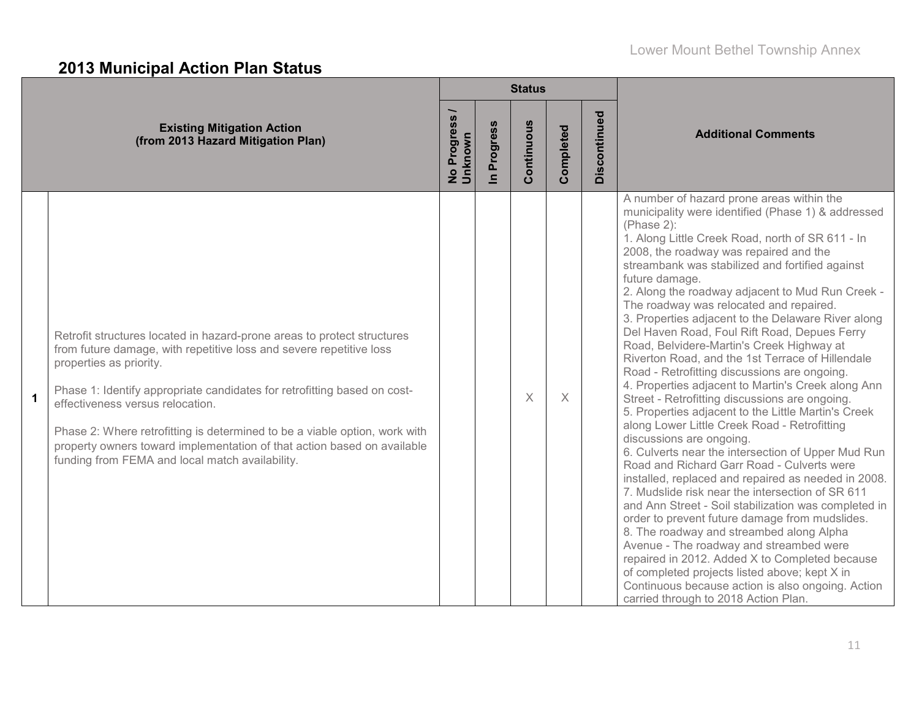# **2013 Municipal Action Plan Status**

|              |                                                                                                                                                                                                                                                                                                                                                                                                                                                                                                       |                                 |                          | <b>Status</b> |           |              |                                                                                                                                                                                                                                                                                                                                                                                                                                                                                                                                                                                                                                                                                                                                                                                                                                                                                                                                                                                                                                                                                                                                                                                                                                                                                                                                                                                                                                                                                                   |  |  |
|--------------|-------------------------------------------------------------------------------------------------------------------------------------------------------------------------------------------------------------------------------------------------------------------------------------------------------------------------------------------------------------------------------------------------------------------------------------------------------------------------------------------------------|---------------------------------|--------------------------|---------------|-----------|--------------|---------------------------------------------------------------------------------------------------------------------------------------------------------------------------------------------------------------------------------------------------------------------------------------------------------------------------------------------------------------------------------------------------------------------------------------------------------------------------------------------------------------------------------------------------------------------------------------------------------------------------------------------------------------------------------------------------------------------------------------------------------------------------------------------------------------------------------------------------------------------------------------------------------------------------------------------------------------------------------------------------------------------------------------------------------------------------------------------------------------------------------------------------------------------------------------------------------------------------------------------------------------------------------------------------------------------------------------------------------------------------------------------------------------------------------------------------------------------------------------------------|--|--|
|              | <b>Existing Mitigation Action</b><br>(from 2013 Hazard Mitigation Plan)                                                                                                                                                                                                                                                                                                                                                                                                                               | No Progress <i>i</i><br>Unknown | Progress<br>$\mathbf{a}$ | Continuous    | Completed | Discontinued | <b>Additional Comments</b>                                                                                                                                                                                                                                                                                                                                                                                                                                                                                                                                                                                                                                                                                                                                                                                                                                                                                                                                                                                                                                                                                                                                                                                                                                                                                                                                                                                                                                                                        |  |  |
| $\mathbf{1}$ | Retrofit structures located in hazard-prone areas to protect structures<br>from future damage, with repetitive loss and severe repetitive loss<br>properties as priority.<br>Phase 1: Identify appropriate candidates for retrofitting based on cost-<br>effectiveness versus relocation.<br>Phase 2: Where retrofitting is determined to be a viable option, work with<br>property owners toward implementation of that action based on available<br>funding from FEMA and local match availability. |                                 |                          | $\times$      | $\times$  |              | A number of hazard prone areas within the<br>municipality were identified (Phase 1) & addressed<br>(Phase 2):<br>1. Along Little Creek Road, north of SR 611 - In<br>2008, the roadway was repaired and the<br>streambank was stabilized and fortified against<br>future damage.<br>2. Along the roadway adjacent to Mud Run Creek -<br>The roadway was relocated and repaired.<br>3. Properties adjacent to the Delaware River along<br>Del Haven Road, Foul Rift Road, Depues Ferry<br>Road, Belvidere-Martin's Creek Highway at<br>Riverton Road, and the 1st Terrace of Hillendale<br>Road - Retrofitting discussions are ongoing.<br>4. Properties adjacent to Martin's Creek along Ann<br>Street - Retrofitting discussions are ongoing.<br>5. Properties adjacent to the Little Martin's Creek<br>along Lower Little Creek Road - Retrofitting<br>discussions are ongoing.<br>6. Culverts near the intersection of Upper Mud Run<br>Road and Richard Garr Road - Culverts were<br>installed, replaced and repaired as needed in 2008.<br>7. Mudslide risk near the intersection of SR 611<br>and Ann Street - Soil stabilization was completed in<br>order to prevent future damage from mudslides.<br>8. The roadway and streambed along Alpha<br>Avenue - The roadway and streambed were<br>repaired in 2012. Added X to Completed because<br>of completed projects listed above; kept X in<br>Continuous because action is also ongoing. Action<br>carried through to 2018 Action Plan. |  |  |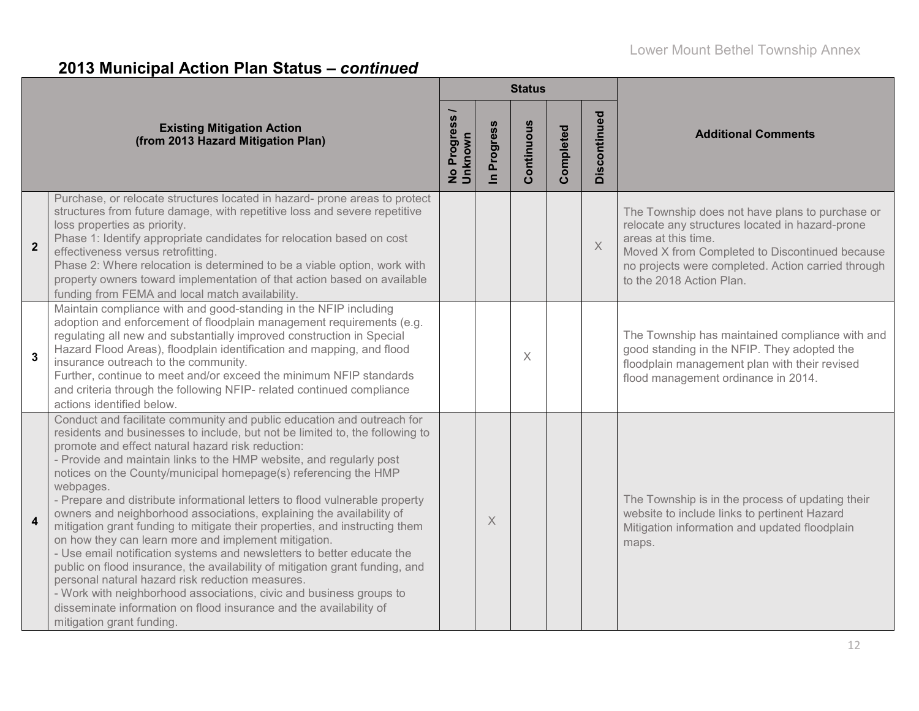# **2013 Municipal Action Plan Status –** *continued*

|                         |                                                                                                                                                                                                                                                                                                                                                                                                                                                                                                                                                                                                                                                                                                                                                                                                                                                                                                                                                                                                                                                          |                          |                          | <b>Status</b> |           |              |                                                                                                                                                                                                                                                               |  |
|-------------------------|----------------------------------------------------------------------------------------------------------------------------------------------------------------------------------------------------------------------------------------------------------------------------------------------------------------------------------------------------------------------------------------------------------------------------------------------------------------------------------------------------------------------------------------------------------------------------------------------------------------------------------------------------------------------------------------------------------------------------------------------------------------------------------------------------------------------------------------------------------------------------------------------------------------------------------------------------------------------------------------------------------------------------------------------------------|--------------------------|--------------------------|---------------|-----------|--------------|---------------------------------------------------------------------------------------------------------------------------------------------------------------------------------------------------------------------------------------------------------------|--|
|                         | <b>Existing Mitigation Action</b><br>(from 2013 Hazard Mitigation Plan)                                                                                                                                                                                                                                                                                                                                                                                                                                                                                                                                                                                                                                                                                                                                                                                                                                                                                                                                                                                  | No Progress /<br>Unknown | Progress<br>$\mathbf{a}$ | Continuous    | Completed | Discontinued | <b>Additional Comments</b>                                                                                                                                                                                                                                    |  |
| $\overline{\mathbf{2}}$ | Purchase, or relocate structures located in hazard- prone areas to protect<br>structures from future damage, with repetitive loss and severe repetitive<br>loss properties as priority.<br>Phase 1: Identify appropriate candidates for relocation based on cost<br>effectiveness versus retrofitting.<br>Phase 2: Where relocation is determined to be a viable option, work with<br>property owners toward implementation of that action based on available<br>funding from FEMA and local match availability.                                                                                                                                                                                                                                                                                                                                                                                                                                                                                                                                         |                          |                          |               |           | $\times$     | The Township does not have plans to purchase or<br>relocate any structures located in hazard-prone<br>areas at this time.<br>Moved X from Completed to Discontinued because<br>no projects were completed. Action carried through<br>to the 2018 Action Plan. |  |
| $\mathbf{3}$            | Maintain compliance with and good-standing in the NFIP including<br>adoption and enforcement of floodplain management requirements (e.g.<br>regulating all new and substantially improved construction in Special<br>Hazard Flood Areas), floodplain identification and mapping, and flood<br>insurance outreach to the community.<br>Further, continue to meet and/or exceed the minimum NFIP standards<br>and criteria through the following NFIP- related continued compliance<br>actions identified below.                                                                                                                                                                                                                                                                                                                                                                                                                                                                                                                                           |                          |                          | X             |           |              | The Township has maintained compliance with and<br>good standing in the NFIP. They adopted the<br>floodplain management plan with their revised<br>flood management ordinance in 2014.                                                                        |  |
| $\overline{\mathbf{4}}$ | Conduct and facilitate community and public education and outreach for<br>residents and businesses to include, but not be limited to, the following to<br>promote and effect natural hazard risk reduction:<br>- Provide and maintain links to the HMP website, and regularly post<br>notices on the County/municipal homepage(s) referencing the HMP<br>webpages.<br>- Prepare and distribute informational letters to flood vulnerable property<br>owners and neighborhood associations, explaining the availability of<br>mitigation grant funding to mitigate their properties, and instructing them<br>on how they can learn more and implement mitigation.<br>- Use email notification systems and newsletters to better educate the<br>public on flood insurance, the availability of mitigation grant funding, and<br>personal natural hazard risk reduction measures.<br>- Work with neighborhood associations, civic and business groups to<br>disseminate information on flood insurance and the availability of<br>mitigation grant funding. |                          | X                        |               |           |              | The Township is in the process of updating their<br>website to include links to pertinent Hazard<br>Mitigation information and updated floodplain<br>maps.                                                                                                    |  |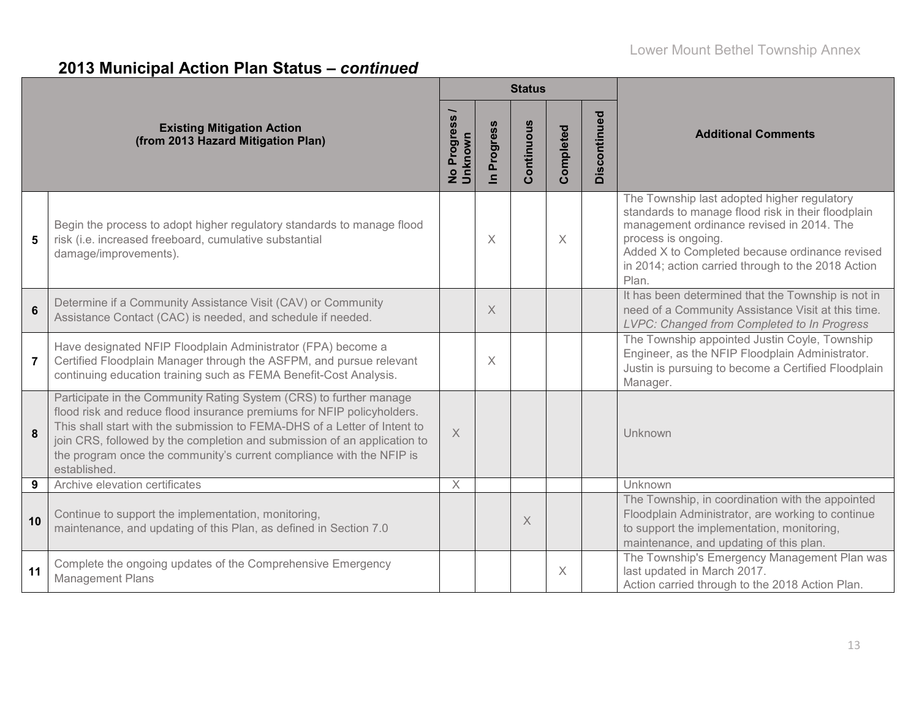# **2013 Municipal Action Plan Status –** *continued*

|                |                                                                                                                                                                                                                                                                                                                                                                                               |                                  |                            | <b>Status</b> |           |              |                                                                                                                                                                                                                                                                                        |  |  |
|----------------|-----------------------------------------------------------------------------------------------------------------------------------------------------------------------------------------------------------------------------------------------------------------------------------------------------------------------------------------------------------------------------------------------|----------------------------------|----------------------------|---------------|-----------|--------------|----------------------------------------------------------------------------------------------------------------------------------------------------------------------------------------------------------------------------------------------------------------------------------------|--|--|
|                | <b>Existing Mitigation Action</b><br>(from 2013 Hazard Mitigation Plan)                                                                                                                                                                                                                                                                                                                       | Progress<br>No Progre<br>Unknown | Progress<br>$\blacksquare$ | Continuous    | Completed | Discontinued | <b>Additional Comments</b>                                                                                                                                                                                                                                                             |  |  |
| $5\phantom{1}$ | Begin the process to adopt higher regulatory standards to manage flood<br>risk (i.e. increased freeboard, cumulative substantial<br>damage/improvements).                                                                                                                                                                                                                                     |                                  | $\times$                   |               | $\times$  |              | The Township last adopted higher regulatory<br>standards to manage flood risk in their floodplain<br>management ordinance revised in 2014. The<br>process is ongoing.<br>Added X to Completed because ordinance revised<br>in 2014; action carried through to the 2018 Action<br>Plan. |  |  |
| 6              | Determine if a Community Assistance Visit (CAV) or Community<br>Assistance Contact (CAC) is needed, and schedule if needed.                                                                                                                                                                                                                                                                   |                                  | X                          |               |           |              | It has been determined that the Township is not in<br>need of a Community Assistance Visit at this time.<br>LVPC: Changed from Completed to In Progress                                                                                                                                |  |  |
| $\overline{7}$ | Have designated NFIP Floodplain Administrator (FPA) become a<br>Certified Floodplain Manager through the ASFPM, and pursue relevant<br>continuing education training such as FEMA Benefit-Cost Analysis.                                                                                                                                                                                      |                                  | $\times$                   |               |           |              | The Township appointed Justin Coyle, Township<br>Engineer, as the NFIP Floodplain Administrator.<br>Justin is pursuing to become a Certified Floodplain<br>Manager.                                                                                                                    |  |  |
| 8              | Participate in the Community Rating System (CRS) to further manage<br>flood risk and reduce flood insurance premiums for NFIP policyholders.<br>This shall start with the submission to FEMA-DHS of a Letter of Intent to<br>join CRS, followed by the completion and submission of an application to<br>the program once the community's current compliance with the NFIP is<br>established. | $\times$                         |                            |               |           |              | Unknown                                                                                                                                                                                                                                                                                |  |  |
| 9              | Archive elevation certificates                                                                                                                                                                                                                                                                                                                                                                | $\times$                         |                            |               |           |              | Unknown                                                                                                                                                                                                                                                                                |  |  |
| 10             | Continue to support the implementation, monitoring,<br>maintenance, and updating of this Plan, as defined in Section 7.0                                                                                                                                                                                                                                                                      |                                  |                            | X             |           |              | The Township, in coordination with the appointed<br>Floodplain Administrator, are working to continue<br>to support the implementation, monitoring,<br>maintenance, and updating of this plan.                                                                                         |  |  |
| 11             | Complete the ongoing updates of the Comprehensive Emergency<br><b>Management Plans</b>                                                                                                                                                                                                                                                                                                        |                                  |                            |               | X         |              | The Township's Emergency Management Plan was<br>last updated in March 2017.<br>Action carried through to the 2018 Action Plan.                                                                                                                                                         |  |  |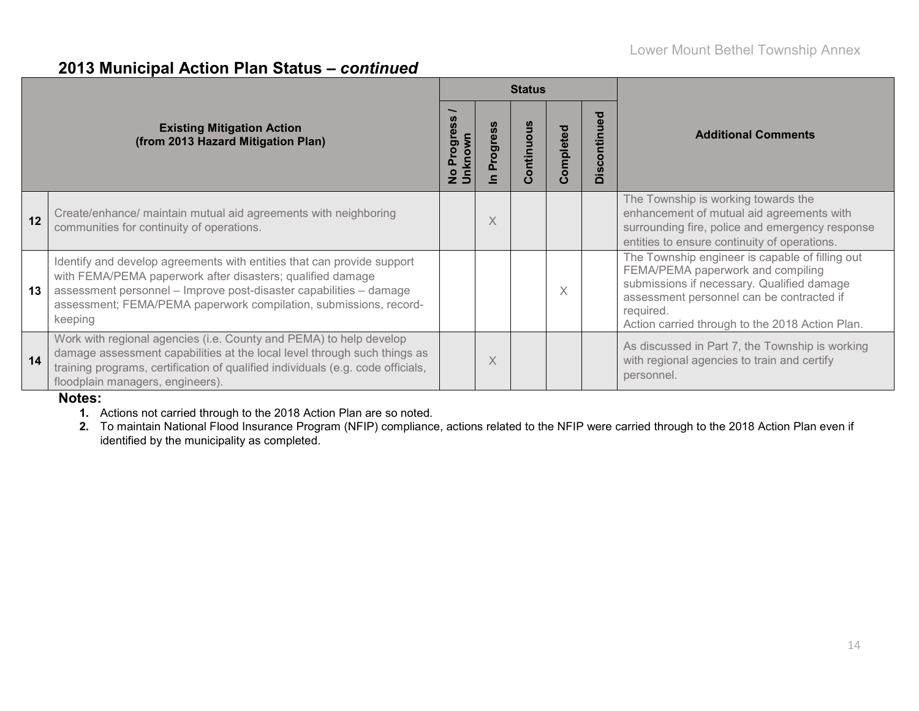## **2013 Municipal Action Plan Status –** *continued*

|    |                                                                                                                                                                                                                                                                                            |                       |                 | <b>Status</b> |           |              |                                                                                                                                                                                                                                                 |  |  |
|----|--------------------------------------------------------------------------------------------------------------------------------------------------------------------------------------------------------------------------------------------------------------------------------------------|-----------------------|-----------------|---------------|-----------|--------------|-------------------------------------------------------------------------------------------------------------------------------------------------------------------------------------------------------------------------------------------------|--|--|
|    | <b>Existing Mitigation Action</b><br>(from 2013 Hazard Mitigation Plan)                                                                                                                                                                                                                    | ë,<br>Jnknown<br>Prog | <b>Progress</b> | ontinuous     | Completed | Discontinued | <b>Additional Comments</b>                                                                                                                                                                                                                      |  |  |
| 12 | Create/enhance/ maintain mutual aid agreements with neighboring<br>communities for continuity of operations.                                                                                                                                                                               |                       | $\times$        |               |           |              | The Township is working towards the<br>enhancement of mutual aid agreements with<br>surrounding fire, police and emergency response<br>entities to ensure continuity of operations.                                                             |  |  |
| 13 | Identify and develop agreements with entities that can provide support<br>with FEMA/PEMA paperwork after disasters; qualified damage<br>assessment personnel - Improve post-disaster capabilities - damage<br>assessment; FEMA/PEMA paperwork compilation, submissions, record-<br>keeping |                       |                 |               | X         |              | The Township engineer is capable of filling out<br>FEMA/PEMA paperwork and compiling<br>submissions if necessary. Qualified damage<br>assessment personnel can be contracted if<br>required.<br>Action carried through to the 2018 Action Plan. |  |  |
| 14 | Work with regional agencies (i.e. County and PEMA) to help develop<br>damage assessment capabilities at the local level through such things as<br>training programs, certification of qualified individuals (e.g. code officials,<br>floodplain managers, engineers).                      |                       | X               |               |           |              | As discussed in Part 7, the Township is working<br>with regional agencies to train and certify<br>personnel.                                                                                                                                    |  |  |

**Notes:**

**1.** Actions not carried through to the 2018 Action Plan are so noted.

**2.** To maintain National Flood Insurance Program (NFIP) compliance, actions related to the NFIP were carried through to the 2018 Action Plan even if identified by the municipality as completed.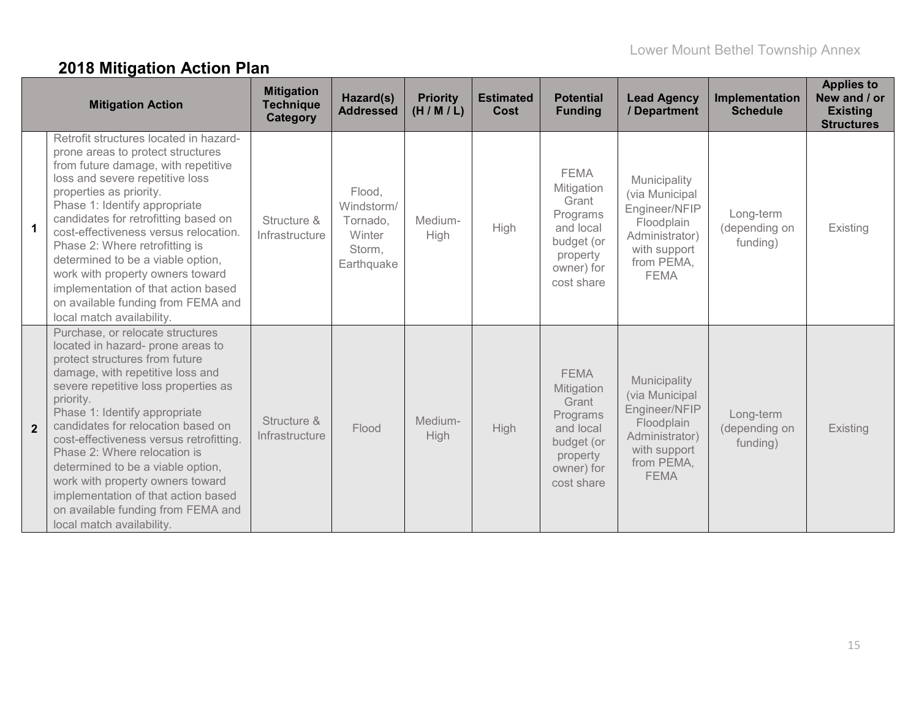# **2018 Mitigation Action Plan**

|                | <b>Mitigation Action</b>                                                                                                                                                                                                                                                                                                                                                                                                                                                                                                              | <b>Mitigation</b><br><b>Technique</b><br><b>Category</b> | Hazard(s)<br><b>Addressed</b>                                      | <b>Priority</b><br>(H/M/L) | <b>Estimated</b><br>Cost | <b>Potential</b><br><b>Funding</b>                                                                                | <b>Lead Agency</b><br>/ Department                                                                                           | Implementation<br><b>Schedule</b>      | <b>Applies to</b><br>New and / or<br><b>Existing</b><br><b>Structures</b> |
|----------------|---------------------------------------------------------------------------------------------------------------------------------------------------------------------------------------------------------------------------------------------------------------------------------------------------------------------------------------------------------------------------------------------------------------------------------------------------------------------------------------------------------------------------------------|----------------------------------------------------------|--------------------------------------------------------------------|----------------------------|--------------------------|-------------------------------------------------------------------------------------------------------------------|------------------------------------------------------------------------------------------------------------------------------|----------------------------------------|---------------------------------------------------------------------------|
| $\mathbf{1}$   | Retrofit structures located in hazard-<br>prone areas to protect structures<br>from future damage, with repetitive<br>loss and severe repetitive loss<br>properties as priority.<br>Phase 1: Identify appropriate<br>candidates for retrofitting based on<br>cost-effectiveness versus relocation.<br>Phase 2: Where retrofitting is<br>determined to be a viable option,<br>work with property owners toward<br>implementation of that action based<br>on available funding from FEMA and<br>local match availability.               | Structure &<br>Infrastructure                            | Flood,<br>Windstorm/<br>Tornado,<br>Winter<br>Storm,<br>Earthquake | Medium-<br><b>High</b>     | High                     | <b>FEMA</b><br>Mitigation<br>Grant<br>Programs<br>and local<br>budget (or<br>property<br>owner) for<br>cost share | Municipality<br>(via Municipal<br>Engineer/NFIP<br>Floodplain<br>Administrator)<br>with support<br>from PEMA,<br><b>FEMA</b> | Long-term<br>(depending on<br>funding) | Existing                                                                  |
| $\overline{2}$ | Purchase, or relocate structures<br>located in hazard- prone areas to<br>protect structures from future<br>damage, with repetitive loss and<br>severe repetitive loss properties as<br>priority.<br>Phase 1: Identify appropriate<br>candidates for relocation based on<br>cost-effectiveness versus retrofitting.<br>Phase 2: Where relocation is<br>determined to be a viable option,<br>work with property owners toward<br>implementation of that action based<br>on available funding from FEMA and<br>local match availability. | Structure &<br>Infrastructure                            | Flood                                                              | Medium-<br><b>High</b>     | <b>High</b>              | <b>FEMA</b><br>Mitigation<br>Grant<br>Programs<br>and local<br>budget (or<br>property<br>owner) for<br>cost share | Municipality<br>(via Municipal<br>Engineer/NFIP<br>Floodplain<br>Administrator)<br>with support<br>from PEMA,<br><b>FEMA</b> | Long-term<br>(depending on<br>funding) | Existing                                                                  |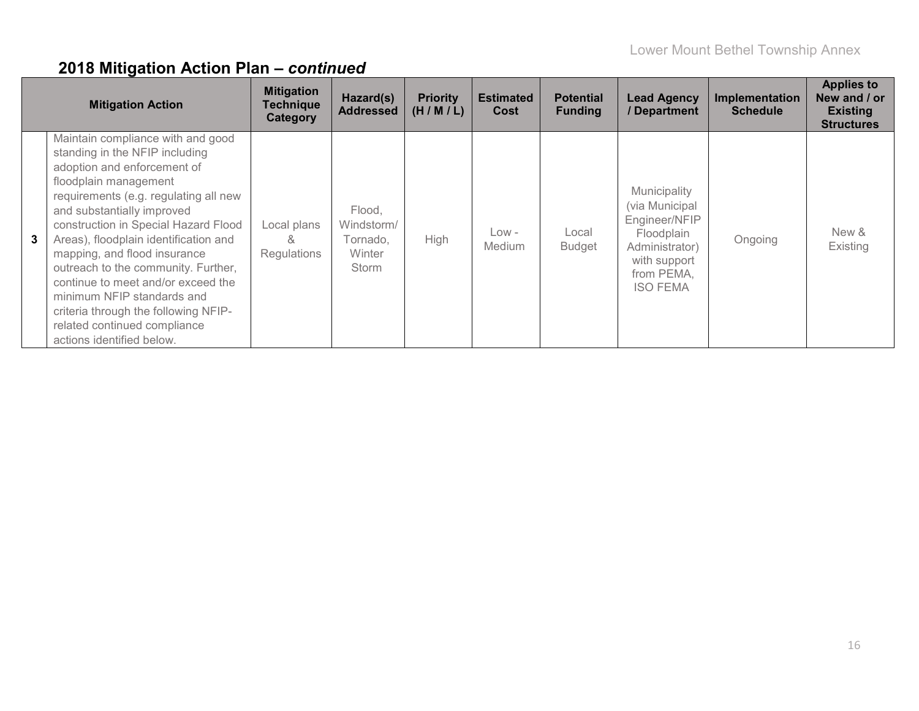|   | <b>Mitigation Action</b>                                                                                                                                                                                                                                                                                                                                                                                                                                                                                                            | <b>Mitigation</b><br><b>Technique</b><br>Category | Hazard(s)<br><b>Addressed</b>                       | <b>Priority</b><br>(H/M/L) | <b>Estimated</b><br>Cost | <b>Potential</b><br><b>Funding</b> | <b>Lead Agency</b><br>/ Department                                                                                               | Implementation<br><b>Schedule</b> | <b>Applies to</b><br>New and / or<br><b>Existing</b><br><b>Structures</b> |
|---|-------------------------------------------------------------------------------------------------------------------------------------------------------------------------------------------------------------------------------------------------------------------------------------------------------------------------------------------------------------------------------------------------------------------------------------------------------------------------------------------------------------------------------------|---------------------------------------------------|-----------------------------------------------------|----------------------------|--------------------------|------------------------------------|----------------------------------------------------------------------------------------------------------------------------------|-----------------------------------|---------------------------------------------------------------------------|
| 3 | Maintain compliance with and good<br>standing in the NFIP including<br>adoption and enforcement of<br>floodplain management<br>requirements (e.g. regulating all new<br>and substantially improved<br>construction in Special Hazard Flood<br>Areas), floodplain identification and<br>mapping, and flood insurance<br>outreach to the community. Further,<br>continue to meet and/or exceed the<br>minimum NFIP standards and<br>criteria through the following NFIP-<br>related continued compliance<br>actions identified below. | Local plans<br>X,<br><b>Regulations</b>           | Flood,<br>Windstorm/<br>Tornado.<br>Winter<br>Storm | <b>High</b>                | $Low -$<br>Medium        | Local<br><b>Budget</b>             | Municipality<br>(via Municipal<br>Engineer/NFIP<br>Floodplain<br>Administrator)<br>with support<br>from PEMA.<br><b>ISO FEMA</b> | Ongoing                           | New &<br>Existing                                                         |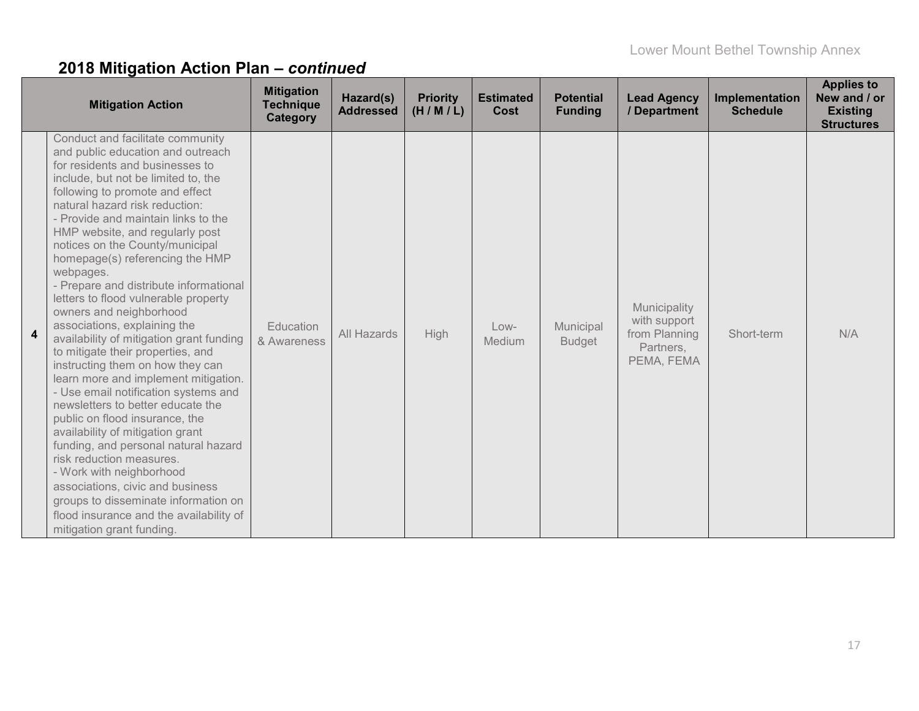| <b>Mitigation Action</b>                                                                                                                                                                                                                                                                                                                                                                                                                                                                                                                                                                                                                                                                                                                                                                                                                                                                                                                                                                                                                                                                           | <b>Mitigation</b><br><b>Technique</b><br><b>Category</b> | Hazard(s)<br><b>Addressed</b> | <b>Priority</b><br>(H/M/L) | <b>Estimated</b><br>Cost | <b>Potential</b><br><b>Funding</b> | <b>Lead Agency</b><br>/ Department                                       | Implementation<br><b>Schedule</b> | <b>Applies to</b><br>New and / or<br><b>Existing</b><br><b>Structures</b> |
|----------------------------------------------------------------------------------------------------------------------------------------------------------------------------------------------------------------------------------------------------------------------------------------------------------------------------------------------------------------------------------------------------------------------------------------------------------------------------------------------------------------------------------------------------------------------------------------------------------------------------------------------------------------------------------------------------------------------------------------------------------------------------------------------------------------------------------------------------------------------------------------------------------------------------------------------------------------------------------------------------------------------------------------------------------------------------------------------------|----------------------------------------------------------|-------------------------------|----------------------------|--------------------------|------------------------------------|--------------------------------------------------------------------------|-----------------------------------|---------------------------------------------------------------------------|
| Conduct and facilitate community<br>and public education and outreach<br>for residents and businesses to<br>include, but not be limited to, the<br>following to promote and effect<br>natural hazard risk reduction:<br>- Provide and maintain links to the<br>HMP website, and regularly post<br>notices on the County/municipal<br>homepage(s) referencing the HMP<br>webpages.<br>- Prepare and distribute informational<br>letters to flood vulnerable property<br>owners and neighborhood<br>associations, explaining the<br>availability of mitigation grant funding<br>to mitigate their properties, and<br>instructing them on how they can<br>learn more and implement mitigation.<br>- Use email notification systems and<br>newsletters to better educate the<br>public on flood insurance, the<br>availability of mitigation grant<br>funding, and personal natural hazard<br>risk reduction measures.<br>- Work with neighborhood<br>associations, civic and business<br>groups to disseminate information on<br>flood insurance and the availability of<br>mitigation grant funding. | Education<br>& Awareness                                 | All Hazards                   | High                       | $Low-$<br>Medium         | Municipal<br><b>Budget</b>         | Municipality<br>with support<br>from Planning<br>Partners,<br>PEMA, FEMA | Short-term                        | N/A                                                                       |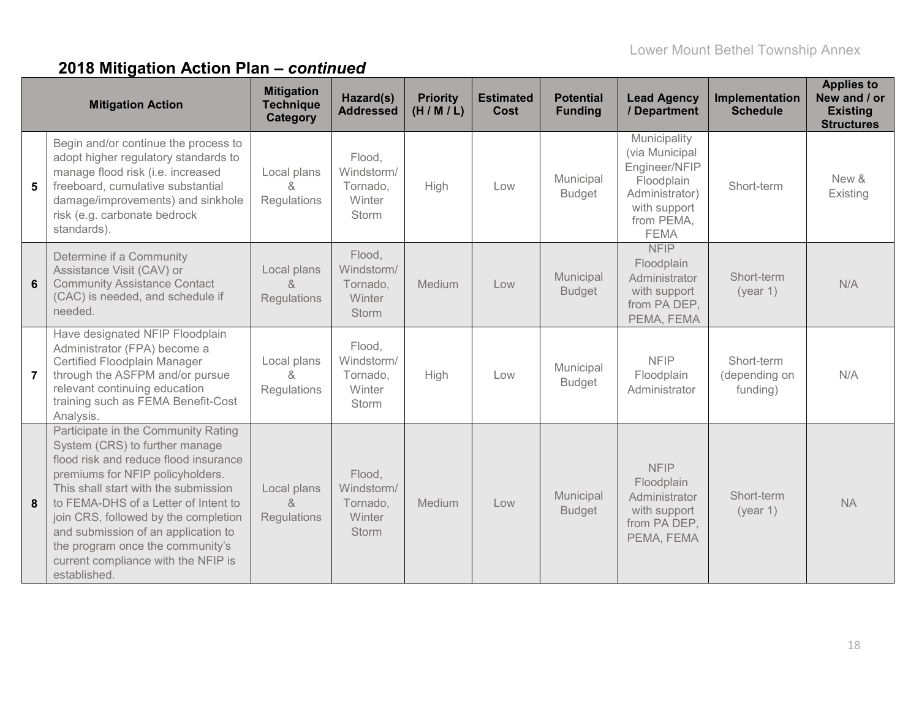|                | <b>Mitigation Action</b>                                                                                                                                                                                                                                                                                                                                                                                     | <b>Mitigation</b><br><b>Technique</b><br><b>Category</b>  | Hazard(s)<br><b>Addressed</b>                              | <b>Priority</b><br>(H/M/L) | <b>Estimated</b><br>Cost | <b>Potential</b><br><b>Funding</b> | <b>Lead Agency</b><br>/ Department                                                                                           | Implementation<br><b>Schedule</b>       | <b>Applies to</b><br>New and / or<br><b>Existing</b><br><b>Structures</b> |
|----------------|--------------------------------------------------------------------------------------------------------------------------------------------------------------------------------------------------------------------------------------------------------------------------------------------------------------------------------------------------------------------------------------------------------------|-----------------------------------------------------------|------------------------------------------------------------|----------------------------|--------------------------|------------------------------------|------------------------------------------------------------------------------------------------------------------------------|-----------------------------------------|---------------------------------------------------------------------------|
| 5              | Begin and/or continue the process to<br>adopt higher regulatory standards to<br>manage flood risk (i.e. increased<br>freeboard, cumulative substantial<br>damage/improvements) and sinkhole<br>risk (e.g. carbonate bedrock<br>standards).                                                                                                                                                                   | Local plans<br>&<br>Regulations                           | Flood,<br>Windstorm/<br>Tornado,<br>Winter<br><b>Storm</b> | High                       | Low                      | Municipal<br><b>Budget</b>         | Municipality<br>(via Municipal<br>Engineer/NFIP<br>Floodplain<br>Administrator)<br>with support<br>from PEMA,<br><b>FEMA</b> | Short-term                              | New &<br>Existing                                                         |
| 6              | Determine if a Community<br>Assistance Visit (CAV) or<br><b>Community Assistance Contact</b><br>(CAC) is needed, and schedule if<br>needed.                                                                                                                                                                                                                                                                  | Local plans<br>$\alpha$<br>Regulations                    | Flood,<br>Windstorm/<br>Tornado,<br>Winter<br><b>Storm</b> | Medium                     | Low                      | Municipal<br><b>Budget</b>         | <b>NFIP</b><br>Floodplain<br>Administrator<br>with support<br>from PA DEP,<br>PEMA, FEMA                                     | Short-term<br>(year 1)                  | N/A                                                                       |
| $\overline{7}$ | Have designated NFIP Floodplain<br>Administrator (FPA) become a<br>Certified Floodplain Manager<br>through the ASFPM and/or pursue<br>relevant continuing education<br>training such as FEMA Benefit-Cost<br>Analysis.                                                                                                                                                                                       | Local plans<br>$\alpha$<br>Regulations                    | Flood,<br>Windstorm/<br>Tornado,<br>Winter<br>Storm        | High                       | Low                      | Municipal<br><b>Budget</b>         | <b>NFIP</b><br>Floodplain<br>Administrator                                                                                   | Short-term<br>(depending on<br>funding) | N/A                                                                       |
| 8              | Participate in the Community Rating<br>System (CRS) to further manage<br>flood risk and reduce flood insurance<br>premiums for NFIP policyholders.<br>This shall start with the submission<br>to FEMA-DHS of a Letter of Intent to<br>join CRS, followed by the completion<br>and submission of an application to<br>the program once the community's<br>current compliance with the NFIP is<br>established. | Local plans<br>$\mathcal{R}_{\mathcal{C}}$<br>Regulations | Flood,<br>Windstorm/<br>Tornado,<br>Winter<br><b>Storm</b> | Medium                     | Low                      | Municipal<br><b>Budget</b>         | <b>NFIP</b><br>Floodplain<br>Administrator<br>with support<br>from PA DEP,<br>PEMA, FEMA                                     | Short-term<br>(year 1)                  | <b>NA</b>                                                                 |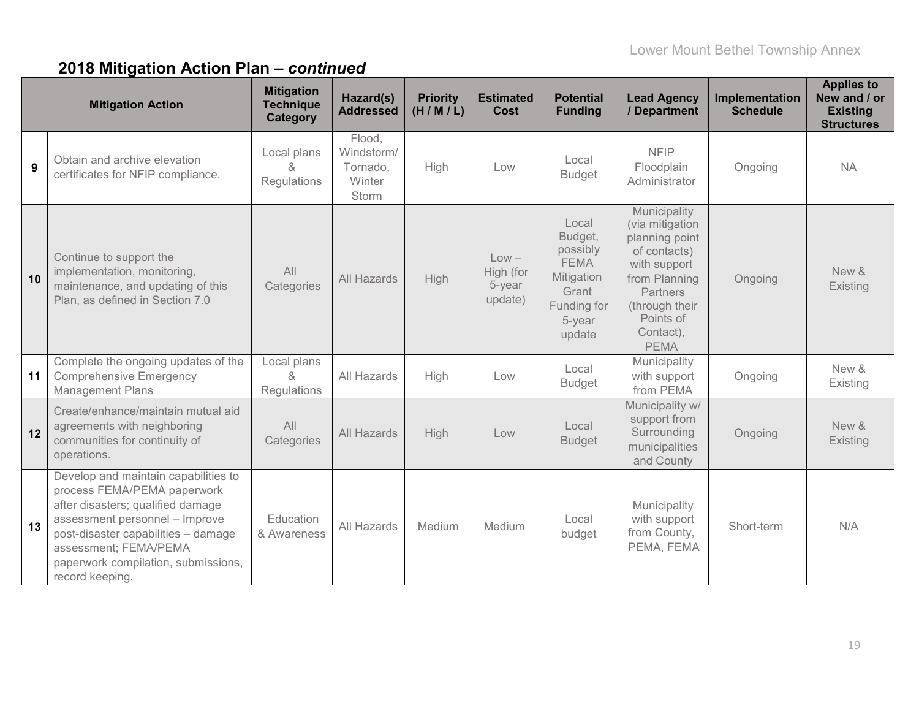|    | <b>Mitigation Action</b>                                                                                                                                                                                                                                             | <b>Mitigation</b><br><b>Technique</b><br><b>Category</b> | Hazard(s)<br><b>Addressed</b>                              | <b>Priority</b><br>(H/M/L) | <b>Estimated</b><br><b>Cost</b>           | <b>Potential</b><br><b>Funding</b>                                                                    | <b>Lead Agency</b><br>/ Department                                                                                                                                               | Implementation<br><b>Schedule</b> | <b>Applies to</b><br>New and / or<br><b>Existing</b><br><b>Structures</b> |
|----|----------------------------------------------------------------------------------------------------------------------------------------------------------------------------------------------------------------------------------------------------------------------|----------------------------------------------------------|------------------------------------------------------------|----------------------------|-------------------------------------------|-------------------------------------------------------------------------------------------------------|----------------------------------------------------------------------------------------------------------------------------------------------------------------------------------|-----------------------------------|---------------------------------------------------------------------------|
| 9  | Obtain and archive elevation<br>certificates for NFIP compliance.                                                                                                                                                                                                    | Local plans<br>χ<br>Regulations                          | Flood,<br>Windstorm/<br>Tornado,<br>Winter<br><b>Storm</b> | High                       | Low                                       | Local<br><b>Budget</b>                                                                                | <b>NFIP</b><br>Floodplain<br>Administrator                                                                                                                                       | Ongoing                           | <b>NA</b>                                                                 |
| 10 | Continue to support the<br>implementation, monitoring,<br>maintenance, and updating of this<br>Plan, as defined in Section 7.0                                                                                                                                       | All<br>Categories                                        | All Hazards                                                | High                       | $Low -$<br>High (for<br>5-year<br>update) | Local<br>Budget,<br>possibly<br><b>FEMA</b><br>Mitigation<br>Grant<br>Funding for<br>5-year<br>update | Municipality<br>(via mitigation<br>planning point<br>of contacts)<br>with support<br>from Planning<br><b>Partners</b><br>(through their<br>Points of<br>Contact),<br><b>PEMA</b> | Ongoing                           | New &<br>Existing                                                         |
| 11 | Complete the ongoing updates of the<br><b>Comprehensive Emergency</b><br><b>Management Plans</b>                                                                                                                                                                     | Local plans<br>$\alpha$<br><b>Regulations</b>            | All Hazards                                                | High                       | Low                                       | Local<br><b>Budget</b>                                                                                | Municipality<br>with support<br>from PEMA                                                                                                                                        | Ongoing                           | New &<br>Existing                                                         |
| 12 | Create/enhance/maintain mutual aid<br>agreements with neighboring<br>communities for continuity of<br>operations.                                                                                                                                                    | All<br>Categories                                        | <b>All Hazards</b>                                         | High                       | Low                                       | Local<br><b>Budget</b>                                                                                | Municipality w/<br>support from<br>Surrounding<br>municipalities<br>and County                                                                                                   | Ongoing                           | New &<br>Existing                                                         |
| 13 | Develop and maintain capabilities to<br>process FEMA/PEMA paperwork<br>after disasters; qualified damage<br>assessment personnel - Improve<br>post-disaster capabilities - damage<br>assessment; FEMA/PEMA<br>paperwork compilation, submissions,<br>record keeping. | Education<br>& Awareness                                 | All Hazards                                                | Medium                     | Medium                                    | Local<br>budget                                                                                       | Municipality<br>with support<br>from County,<br>PEMA, FEMA                                                                                                                       | Short-term                        | N/A                                                                       |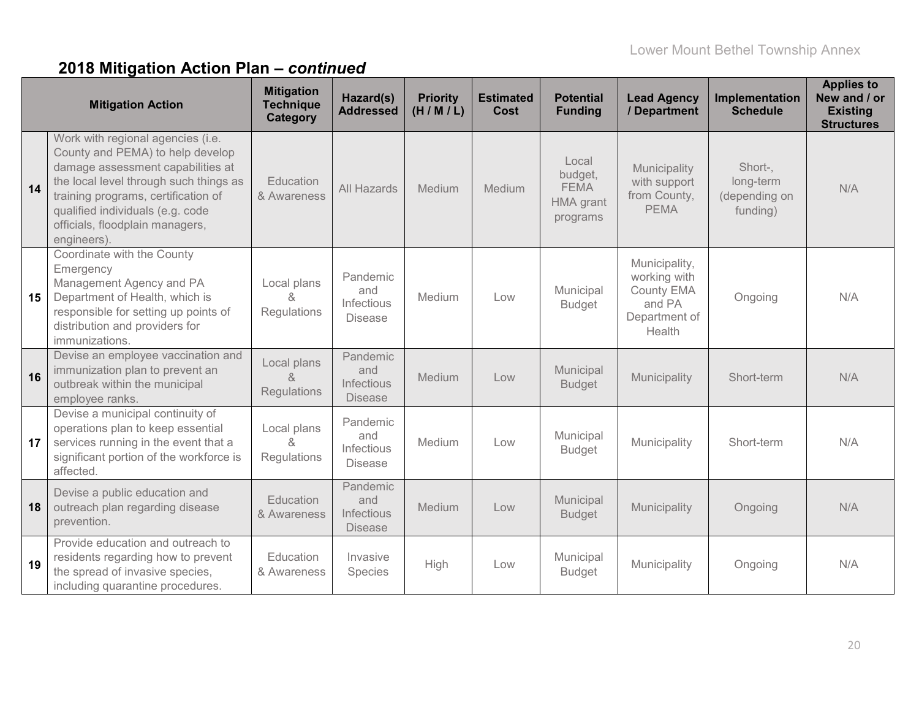|    | <b>Mitigation Action</b>                                                                                                                                                                                                                                                          | <b>Mitigation</b><br><b>Technique</b><br><b>Category</b> | Hazard(s)<br><b>Addressed</b>                   | <b>Priority</b><br>(H/M/L) | <b>Estimated</b><br>Cost | <b>Potential</b><br><b>Funding</b>                       | <b>Lead Agency</b><br>/ Department                                               | Implementation<br><b>Schedule</b>                 | <b>Applies to</b><br>New and / or<br><b>Existing</b><br><b>Structures</b> |
|----|-----------------------------------------------------------------------------------------------------------------------------------------------------------------------------------------------------------------------------------------------------------------------------------|----------------------------------------------------------|-------------------------------------------------|----------------------------|--------------------------|----------------------------------------------------------|----------------------------------------------------------------------------------|---------------------------------------------------|---------------------------------------------------------------------------|
| 14 | Work with regional agencies (i.e.<br>County and PEMA) to help develop<br>damage assessment capabilities at<br>the local level through such things as<br>training programs, certification of<br>qualified individuals (e.g. code<br>officials, floodplain managers,<br>engineers). | Education<br>& Awareness                                 | All Hazards                                     | Medium                     | Medium                   | Local<br>budget,<br><b>FEMA</b><br>HMA grant<br>programs | Municipality<br>with support<br>from County,<br><b>PEMA</b>                      | Short-,<br>long-term<br>(depending on<br>funding) | N/A                                                                       |
| 15 | Coordinate with the County<br>Emergency<br>Management Agency and PA<br>Department of Health, which is<br>responsible for setting up points of<br>distribution and providers for<br>immunizations.                                                                                 | Local plans<br>&<br>Regulations                          | Pandemic<br>and<br>Infectious<br><b>Disease</b> | Medium                     | Low                      | Municipal<br><b>Budget</b>                               | Municipality,<br>working with<br>County EMA<br>and PA<br>Department of<br>Health | Ongoing                                           | N/A                                                                       |
| 16 | Devise an employee vaccination and<br>immunization plan to prevent an<br>outbreak within the municipal<br>employee ranks.                                                                                                                                                         | Local plans<br>&<br><b>Regulations</b>                   | Pandemic<br>and<br>Infectious<br><b>Disease</b> | Medium                     | Low                      | Municipal<br><b>Budget</b>                               | Municipality                                                                     | Short-term                                        | N/A                                                                       |
| 17 | Devise a municipal continuity of<br>operations plan to keep essential<br>services running in the event that a<br>significant portion of the workforce is<br>affected.                                                                                                             | Local plans<br>R,<br>Regulations                         | Pandemic<br>and<br>Infectious<br><b>Disease</b> | Medium                     | Low                      | Municipal<br><b>Budget</b>                               | Municipality                                                                     | Short-term                                        | N/A                                                                       |
| 18 | Devise a public education and<br>outreach plan regarding disease<br>prevention.                                                                                                                                                                                                   | Education<br>& Awareness                                 | Pandemic<br>and<br>Infectious<br><b>Disease</b> | Medium                     | Low                      | Municipal<br><b>Budget</b>                               | Municipality                                                                     | Ongoing                                           | N/A                                                                       |
| 19 | Provide education and outreach to<br>residents regarding how to prevent<br>the spread of invasive species,<br>including quarantine procedures.                                                                                                                                    | Education<br>& Awareness                                 | Invasive<br>Species                             | High                       | Low                      | Municipal<br><b>Budget</b>                               | Municipality                                                                     | Ongoing                                           | N/A                                                                       |